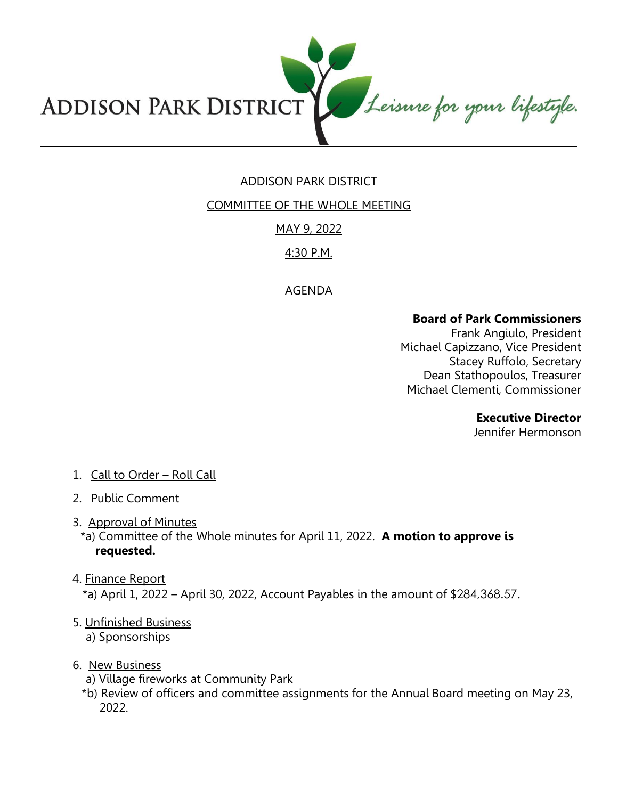

# ADDISON PARK DISTRICT

COMMITTEE OF THE WHOLE MEETING

## MAY 9, 2022

## 4:30 P.M.

# AGENDA

#### **Board of Park Commissioners**

Frank Angiulo, President Michael Capizzano, Vice President Stacey Ruffolo, Secretary Dean Stathopoulos, Treasurer Michael Clementi, Commissioner

#### **Executive Director**

Jennifer Hermonson

## 1. Call to Order – Roll Call

- 2. Public Comment
- 3. Approval of Minutes

\*a) Committee of the Whole minutes for April 11, 2022. **A motion to approve is requested.** 

4. Finance Report

\*a) April 1, 2022 – April 30, 2022, Account Payables in the amount of \$284,368.57.

5. Unfinished Business

a) Sponsorships

## 6. New Business

- a) Village fireworks at Community Park
- \*b) Review of officers and committee assignments for the Annual Board meeting on May 23, 2022.